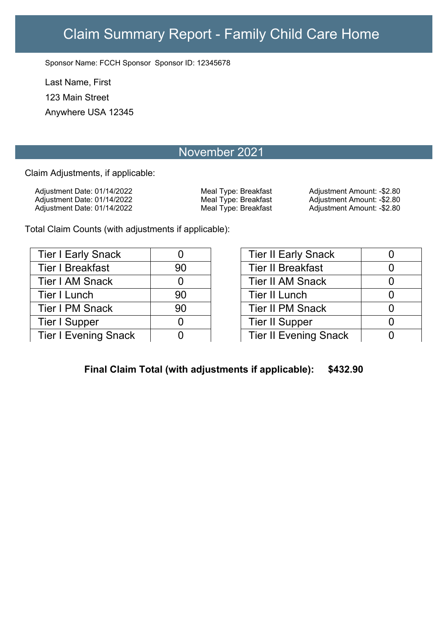## Claim Summary Report - Family Child Care Home

Sponsor Name: FCCH Sponsor Sponsor ID: 12345678

Last Name, First 123 Main Street Anywhere USA 12345

## November 2021

Claim Adjustments, if applicable:

Adjustment Date: 01/14/2022 Meal Type: Breakfast Adjustment Amount: -\$2.80 Adjustment Date: 01/14/2022 Meal Type: Breakfast Adjustment Amount: -\$2.80

Adjustment Date: 01/14/2022 Meal Type: Breakfast Adjustment Amount: -\$2.80

Total Claim Counts (with adjustments if applicable):

| <b>Tier I Early Snack</b>   | 0  |
|-----------------------------|----|
| <b>Tier I Breakfast</b>     | 90 |
| <b>Tier I AM Snack</b>      | 0  |
| <b>Tier I Lunch</b>         | 90 |
| <b>Tier I PM Snack</b>      | 90 |
| Tier I Supper               | N  |
| <b>Tier I Evening Snack</b> |    |

| <b>Tier II Early Snack</b>   |     |
|------------------------------|-----|
| <b>Tier II Breakfast</b>     |     |
| <b>Tier II AM Snack</b>      | ( ) |
| <b>Tier II Lunch</b>         | O   |
| <b>Tier II PM Snack</b>      | O   |
| <b>Tier II Supper</b>        | ( ) |
| <b>Tier II Evening Snack</b> | 7   |

**Final Claim Total (with adjustments if applicable): \$432.90**